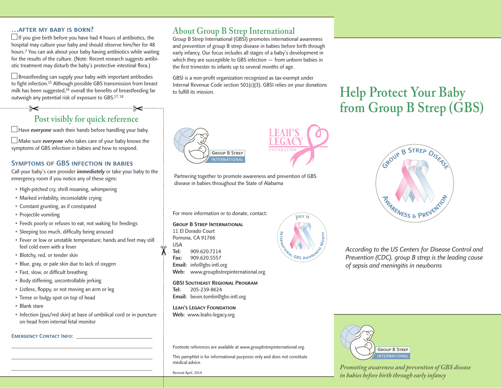#### …after my baby is born?

 $\Box$  If you give birth before you have had 4 hours of antibiotics, the hospital may culture your baby and should observe him/her for 48 hours.2 You can ask about your baby having antibiotics while waiting for the results of the culture. (Note: Recent research suggests antibiotic treatment may disturb the baby's protective intestinal flora.)

 $\Box$  Breastfeeding can supply your baby with important antibodies to fight infection.15 Although possible GBS transmission from breast milk has been suggested,<sup>16</sup> overall the benefits of breastfeeding far outweigh any potential risk of exposure to GBS.17, 18

### **Post visibly for quick reference**

 $\Box$  Have everyone wash their hands before handling your baby.

 $\Box$  Make sure *everyone* who takes care of your baby knows the symptoms of GBS infection in babies and how to respond.

### Symptoms of GBS infection in babies

Call your baby's care provider *immediately* or take your baby to the emergency room if you notice any of these signs:

- High-pitched cry, shrill moaning, whimpering
- Marked irritability, inconsolable crying
- Constant grunting, as if constipated
- Projectile vomiting
- Feeds poorly or refuses to eat, not waking for feedings
- Sleeping too much, difficulty being aroused
- Fever or low or unstable temperature; hands and feet may still feel cold even with a fever
- Blotchy, red, or tender skin
- Blue, gray, or pale skin due to lack of oxygen
- Fast, slow, or difficult breathing
- Body stiffening, uncontrollable jerking
- Listless, floppy, or not moving an arm or leg
- Tense or bulgy spot on top of head
- Blank stare
- Infection (pus/red skin) at base of umbilical cord or in puncture on head from internal fetal monitor

\_\_\_\_\_\_\_\_\_\_\_\_\_\_\_\_\_\_\_\_\_\_\_\_\_\_\_\_\_\_\_\_\_\_\_\_\_\_\_\_\_\_\_\_\_\_\_\_\_\_\_\_ \_\_\_\_\_\_\_\_\_\_\_\_\_\_\_\_\_\_\_\_\_\_\_\_\_\_\_\_\_\_\_\_\_\_\_\_\_\_\_\_\_\_\_\_\_\_\_\_\_\_\_\_ \_\_\_\_\_\_\_\_\_\_\_\_\_\_\_\_\_\_\_\_\_\_\_\_\_\_\_\_\_\_\_\_\_\_\_\_\_\_\_\_\_\_\_\_\_\_\_\_\_\_\_\_

#### EMERGENCY CONTACT INFO:

## **About Group B Strep International**

Group B Strep International (GBSI) promotes international awareness and prevention of group B strep disease in babies before birth through early infancy. Our focus includes all stages of a baby's development in which they are susceptible to GBS infection — from unborn babies in the first trimester to infants up to several months of age.

GBSI is a non-profit organization recognized as tax-exempt under Internal Revenue Code section 501(c)(3). GBSI relies on your donations to fulfill its mission.

# **GROUP B STREP** NTERNATIONAL

Partnering together to promote awareness and prevention of GBS disease in babies throughout the State of Alabama

For more information or to donate, contact:

Group B Strep International 11 El Dorado Court Pomona, CA 91766 USA Tel: 909.620.7214 Fax: 909.620.5557 Email: info@gbs-intl.org

Web: www.groupbstrepinternational.org

GBSI Southeast Regional Program Tel: 205-239-8624 Email: bevin.tomlin@gbs-intl.org

Leah's Legacy Foundation Web: www.leahs-legacy.org

Footnote references are available at www.groupbstrepinternational.org.

This pamphlet is for informational purposes only and does not constitute medical advice.

Revised April, 2014

# ~ ntJul<sup>y</sup> <sup>i</sup><sup>s</sup>

# **Help Protect Your Baby from Group B Strep (GBS)**



*According to the US Centers for Disease Control and Prevention (CDC), group B strep is the leading cause of sepsis and meningitis in newborns*



*Promoting awareness and prevention of GBS disease in babies before birth through early infancy*